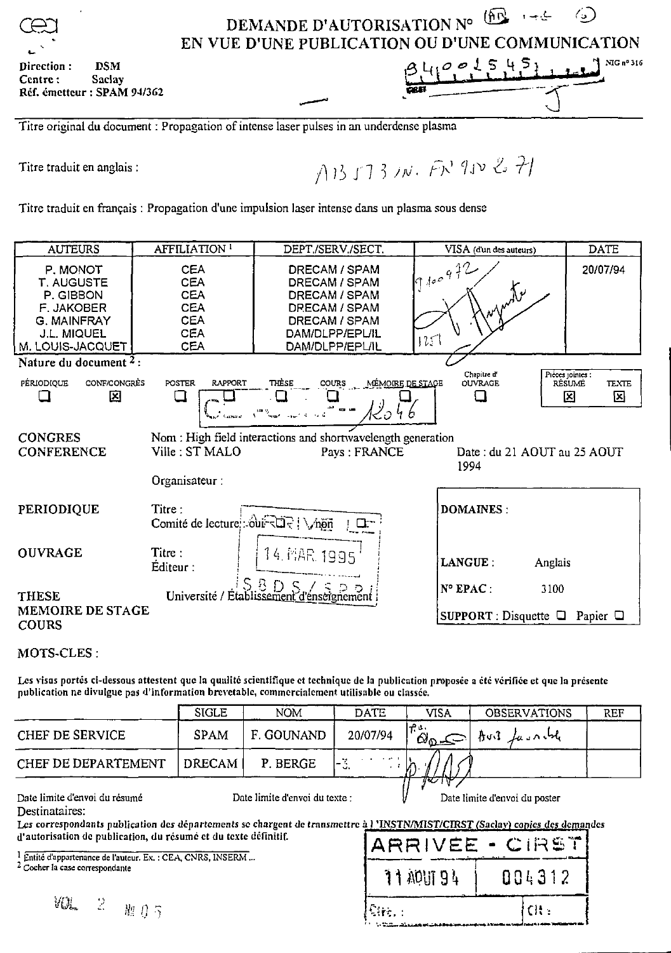**DSM** Direction: Centre: Saclay Réf. émetteur : SPAM 94/362

## DEMANDE D'AUTORISATION N°  $\frac{\left(\widehat{H}\right)^2}{\sqrt{2}}$ کے ب  $\left(\frac{1}{2}\right)$ EN VUE D'UNE PUBLICATION OU D'UNE COMMUNICATION NIG nº 316

 $\sigma$ 

5

Titre original du document : Propagation of intense laser pulses in an underdense plasma

Titre traduit en anglais:

AB5731N. FR 950 2 71

Titre traduit en français : Propagation d'une impulsion laser intense dans un plasma sous dense

| <b>AUTEURS</b>                                                                                                           | AFFILIATION <sup>1</sup>                                                                | DEPT/SERV./SECT.                                                                                                        | VISA (d'un des auteurs)                        | <b>DATE</b>                                          |
|--------------------------------------------------------------------------------------------------------------------------|-----------------------------------------------------------------------------------------|-------------------------------------------------------------------------------------------------------------------------|------------------------------------------------|------------------------------------------------------|
| P. MONOT<br><b>T. AUGUSTE</b><br>P. GIBBON<br><b>F. JAKOBER</b><br>G. MAINFRAY<br><b>J.L. MIQUEL</b><br>M. LOUIS-JACQUET | <b>CEA</b><br>CEA<br><b>CEA</b><br><b>CEA</b><br><b>CEA</b><br><b>CEA</b><br><b>CEA</b> | DRECAM / SPAM<br>DRECAM / SPAM<br>DRECAM / SPAM<br>DRECAM / SPAM<br>DRECAM / SPAM<br>DAM/DLPP/EPL/IL<br>DAM/DLPP/EPL/IL | $log$ 100 9 72<br>$\sim$ or $\sqrt{v}$<br>1251 | 20/07/94                                             |
| Nature du document <sup>2</sup> :                                                                                        |                                                                                         |                                                                                                                         |                                                |                                                      |
| CONF/CONGRES<br>PÉRIODIOUE<br>囜                                                                                          | <b>RAPPORT</b><br><b>POSTER</b><br>ப                                                    | THÈSE<br><b>COURS</b><br><u>MÉMOIRE DE STAGE</u><br>$\mathbf{L}$                                                        | Chapitre d'<br><b>OUVRAGE</b>                  | Pieces jointes :<br><b>TEXTE</b><br>RÉSUMÉ<br>⊠<br>龱 |
|                                                                                                                          | <b>Carl Game</b>                                                                        | ا ح لک<br>inany<br>Indraman-kaominin'i Soria                                                                            |                                                |                                                      |
| <b>CONGRES</b><br><b>CONFERENCE</b>                                                                                      | Ville: ST MALO<br>Organisateur :                                                        | Nom: High field interactions and shortwavelength generation<br>Pays: FRANCE                                             | Date: du 21 AOUT au 25 AOUT<br>1994            |                                                      |
| <b>PERIODIQUE</b>                                                                                                        | Titre:<br>Comité de lecture : out ROR   \, non                                          | $\frac{1}{2}$                                                                                                           | <b>DOMAINES:</b>                               |                                                      |
| <b>OUVRAGE</b>                                                                                                           | Titre:<br>Editeur:                                                                      | 14 MAR 1995                                                                                                             | LANGUE:<br>Anglais                             |                                                      |
| <b>THESE</b>                                                                                                             |                                                                                         | Université / Établissement d'ensergnement                                                                               | N° EPAC :<br>3100                              |                                                      |
| MEMOIRE DE STAGE<br><b>COURS</b>                                                                                         |                                                                                         |                                                                                                                         | SUPPORT : Disquette $\Box$ Papier $\Box$       |                                                      |

## MOTS-CLES:

Les visas portés ci-dessous attestent que la qualité scientifique et technique de la publication proposée a été vérifiée et que la présente publication ne divulgue pas d'information brevetable, commercialement utilisable ou classée.

|                     | <b>SIGLE</b> | <b>NOM</b> | DATE                                | VISA                  | <b>OBSERVATIONS</b> | <b>REF</b> |
|---------------------|--------------|------------|-------------------------------------|-----------------------|---------------------|------------|
| CHEF DE SERVICE     | <b>SPAM</b>  | F. GOUNAND | 20/07/94                            | ۰۵ ۲۳<br>$\omega_{0}$ | Avil Lasnible       |            |
| CHEF DE DEPARTEMENT | DRECAM I     | P. BERGE   | $\overline{\phantom{0}}$<br>والمراد | .                     |                     |            |
|                     |              |            |                                     | ारम                   |                     |            |

Date limite d'envoi du résumé

Date limite d'envoi du texte :

Date limite d'envoi du poster

Destinataires.

Les correspondants publication des départements se chargent de transmettre à l'INSTN/MIST/CIRST (Saclay) copies des demandes d'autorisation de publication, du résumé et du texte définitif.

<sup>1</sup> Entité d'appartenance de l'auteur. Ex. : CEA, CNRS, INSERM...

<sup>2</sup> Cocher la case correspondante

| ARRIVEE - CIRST               |        |  |  |  |  |
|-------------------------------|--------|--|--|--|--|
| 11 ADLIT 94                   | 884312 |  |  |  |  |
| $\mathbb{P}_{\mathbf{W}_1}$ : | CH.    |  |  |  |  |

VU.  $\mathbb{R}^2$ 體15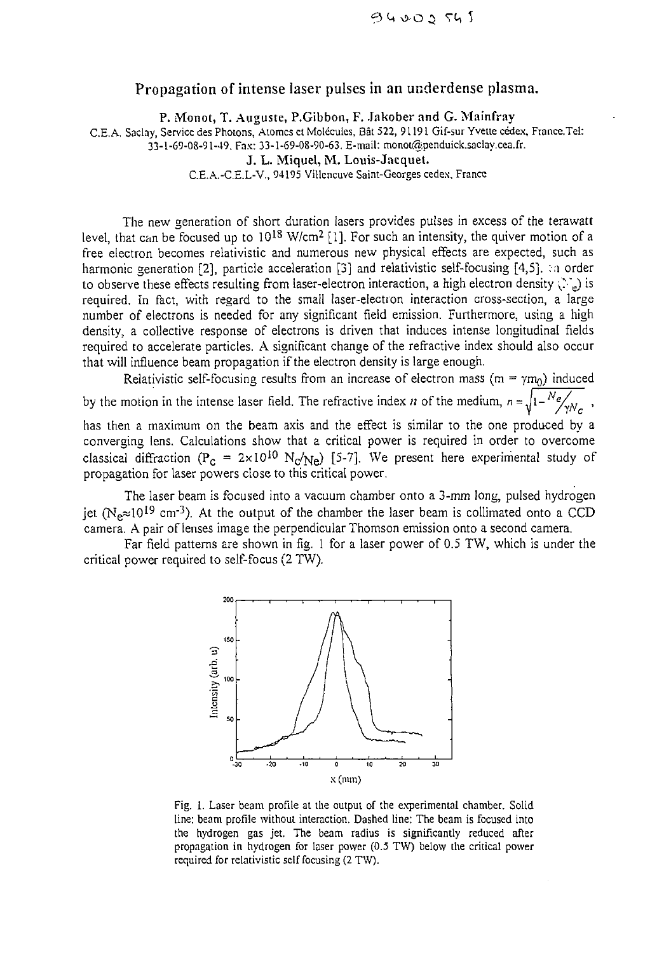## Propagation of intense laser pulses in an underdense plasma.

**P. Monot, T. Auguste, P.Gibbon, F. Jakober and G. Mainfray**

C.E.A. Saclay, Service des Photons, Atomes et Molécules, Bât 522, 91191 Gif-sur Yvette cédex, France.Tel: 33-1-69-08-91-49, Fax: 33-1-69-08-90-63. E-mail: monot@penduick.saclay.cea.fr.

**J. L. Miquel, M. Louis-Jacquet.**

C.E.A.-C.E.L-V., 94195 Villeneuve Saint-Georges cedex, France

The new generation of short duration lasers provides pulses in excess of the terawatt level, that can be focused up to 10<sup>18</sup> W/cm<sup>2</sup> [1]. For such an intensity, the quiver motion of a free electron becomes relativistic and numerous new physical effects are expected, such as harmonic generation [2], particle acceleration [3] and relativistic self-focusing [4,5]. :n order to observe these effects resulting from laser-electron interaction, a high electron density  $\langle \cdot \rangle_e$ ) is required. In fact, with regard to the small laser-electron interaction cross-section, a large number of electrons is needed for any significant field emission. Furthermore, using a high density, a collective response of electrons is driven that induces intense longitudinal fields required to accelerate particles. A significant change of the refractive index should also occur that will influence beam propagation if the electron density is large enough.

Relativistic self-focusing results from an increase of electron mass (m =  $\gamma m_0$ ) induced by the motion in the intense laser field. The refractive index *n* of the medium,  $n = \sqrt{1 - \frac{N_e}{\gamma N_c}}$ , has then a maximum on the beam axis and the effect is similar to the one produced by a

converging lens. Calculations show that a critical power is required in order to overcome classical diffraction (P<sub>C</sub> = 2×10<sup>10</sup> N<sub>C</sub>/<sub>Ne</sub>) [5-7]. We present here experimental study of propagation for laser powers close to this critical power.

The laser beam is focused into a vacuum chamber onto a 3-mm long, pulsed hydrogen jet (N<sub>e</sub> $\approx$ 10<sup>19</sup> cm<sup>-3</sup>). At the output of the chamber the laser beam is collimated onto a CCD camera. A pair of lenses image the perpendicular Thomson emission onto a second camera.

Far field patterns are shown in fig. 1 for a laser power of 0.5 TW, which is under the critical power required to self-focus (2 TW).



Fig. 1. Laser beam profile at the output of the experimental chamber. Solid line: beam profile without interaction. Dashed line: The beam is focused into the hydrogen gas jet. The beam radius is significantly reduced after propagation in hydrogen for laser power (0.5 TW) below the critical power required for relativistic self focusing (2 TW).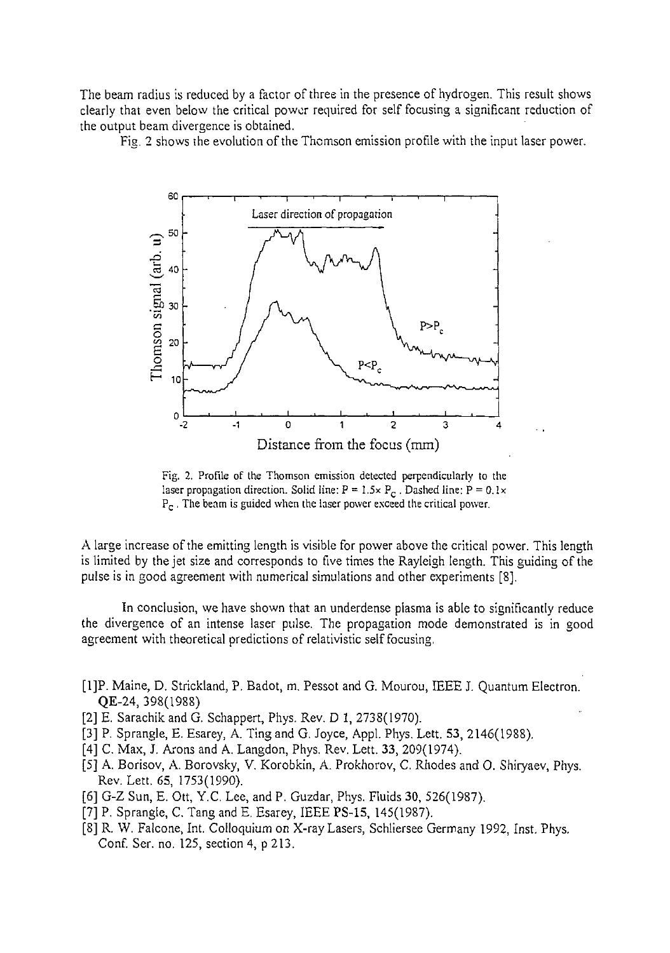The beam radius is reduced by a factor of three in the presence of hydrogen. This result shows clearly that even below the critical power required for self focusing a significant reduction of the output beam divergence is obtained.

Fig. 2 shows the evolution of the Thomson emission profile with the input laser power.



Fig. 2. Profile of the Thomson emission detected perpendicularly to the laser propagation direction. Solid line:  $P = 1.5 \times P_C$ . Dashed line:  $P = 0.1 \times$  $P_c$ . The beam is guided when the laser power exceed the critical power.

A large increase of the emitting length is visible for power above the critical power. This length is limited by the jet size and corresponds to five times the Rayleigh length. This guiding of the pulse is in good agreement with numerical simulations and other experiments [8].

In conclusion, we have shown that an underdense plasma is able to significantly reduce the divergence of an intense laser pulse. The propagation mode demonstrated is in good agreement with theoretical predictions of relativistic self focusing.

- [1]P. Maine, D. Strickland, P. Badot, m. Pessot and G. Mourou, IEEE J. Quantum Electron. QE-24, 398(1988)
- [2] E. Sarachik and G. Schappert, Phys. Rev. D 1, 2738(1970).
- [3] P. Sprangle, E. Esarey, A. Ting and G. Joyce, Appl. Phys. Lett. 53, 2146(1988).
- [4] C. Max, J. Arons and A. Langdon, Phys. Rev. Lett. 33, 209(1974).
- [5] A. Borisov, A. Borovsky, V. Korobkin, A. Prokhorov, C. Rhodes and 0. Shiryaev, Phys. Rev. Lett. 65, 1753(1990).
- [6] G-Z Sun, E. Ott, Y.C. Lee, and P. Guzdar, Phys. Fluids 30, 526(1987).
- [7] P. Sprangle, C. Tang and E. Esarey, IEEE PS-15, 145(1987).
- [8] R. W. Falcone, Int. Colloquium on X-ray Lasers, Schliersee Germany 1992, Inst. Phys. Conf. Ser. no. 125, section 4, p 213.